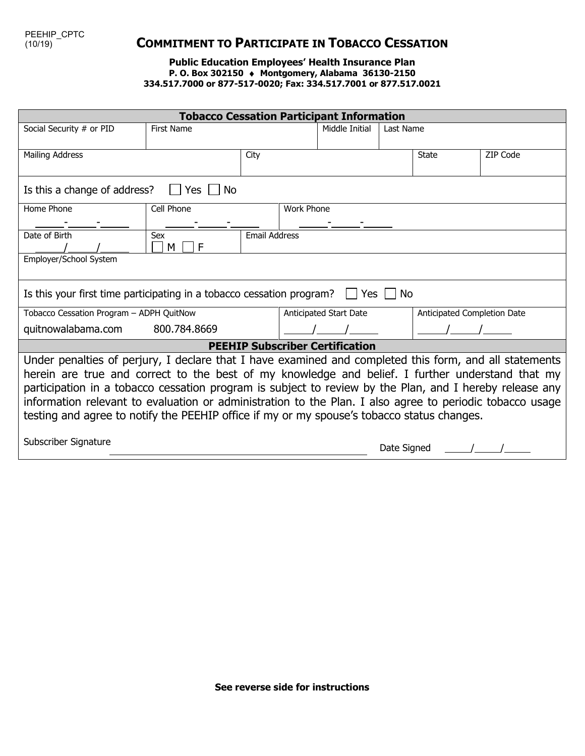PEEHIP\_CPTC  $(10/19)$ 

## **COMMITMENT TO PARTICIPATE IN TOBACCO CESSATION**

**Public Education Employees' Health Insurance Plan P. O. Box 302150** ♦ **Montgomery, Alabama 36130-2150 334.517.7000 or 877-517-0020; Fax: 334.517.7001 or 877.517.0021**

| <b>Tobacco Cessation Participant Information</b>                                                                                                                                                                                                                                                                                                                                                                                                                                                                                                                       |                                       |      |                        |                |           |                             |          |  |
|------------------------------------------------------------------------------------------------------------------------------------------------------------------------------------------------------------------------------------------------------------------------------------------------------------------------------------------------------------------------------------------------------------------------------------------------------------------------------------------------------------------------------------------------------------------------|---------------------------------------|------|------------------------|----------------|-----------|-----------------------------|----------|--|
| Social Security # or PID                                                                                                                                                                                                                                                                                                                                                                                                                                                                                                                                               | <b>First Name</b>                     |      |                        | Middle Initial | Last Name |                             |          |  |
| Mailing Address                                                                                                                                                                                                                                                                                                                                                                                                                                                                                                                                                        |                                       | City |                        |                |           | <b>State</b>                | ZIP Code |  |
| Is this a change of address?<br>Yes<br>. No                                                                                                                                                                                                                                                                                                                                                                                                                                                                                                                            |                                       |      |                        |                |           |                             |          |  |
| Home Phone                                                                                                                                                                                                                                                                                                                                                                                                                                                                                                                                                             | Cell Phone                            |      | <b>Work Phone</b>      |                |           |                             |          |  |
|                                                                                                                                                                                                                                                                                                                                                                                                                                                                                                                                                                        |                                       |      |                        |                |           |                             |          |  |
| Date of Birth                                                                                                                                                                                                                                                                                                                                                                                                                                                                                                                                                          | <b>Email Address</b><br>Sex<br>M<br>F |      |                        |                |           |                             |          |  |
| Employer/School System                                                                                                                                                                                                                                                                                                                                                                                                                                                                                                                                                 |                                       |      |                        |                |           |                             |          |  |
| Is this your first time participating in a tobacco cessation program? $\Box$ Yes $\Box$<br>No.                                                                                                                                                                                                                                                                                                                                                                                                                                                                         |                                       |      |                        |                |           |                             |          |  |
| Tobacco Cessation Program - ADPH QuitNow                                                                                                                                                                                                                                                                                                                                                                                                                                                                                                                               |                                       |      | Anticipated Start Date |                |           | Anticipated Completion Date |          |  |
| quitnowalabama.com                                                                                                                                                                                                                                                                                                                                                                                                                                                                                                                                                     | 800.784.8669                          |      |                        |                |           |                             |          |  |
| <b>PEEHIP Subscriber Certification</b>                                                                                                                                                                                                                                                                                                                                                                                                                                                                                                                                 |                                       |      |                        |                |           |                             |          |  |
| Under penalties of perjury, I declare that I have examined and completed this form, and all statements<br>herein are true and correct to the best of my knowledge and belief. I further understand that my<br>participation in a tobacco cessation program is subject to review by the Plan, and I hereby release any<br>information relevant to evaluation or administration to the Plan. I also agree to periodic tobacco usage<br>testing and agree to notify the PEEHIP office if my or my spouse's tobacco status changes.<br>Subscriber Signature<br>Date Signed |                                       |      |                        |                |           |                             |          |  |